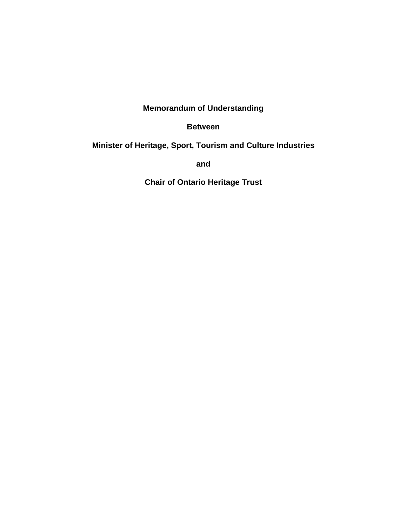# **Memorandum of Understanding**

#### **Between**

### **Minister of Heritage, Sport, Tourism and Culture Industries**

**and**

**Chair of Ontario Heritage Trust**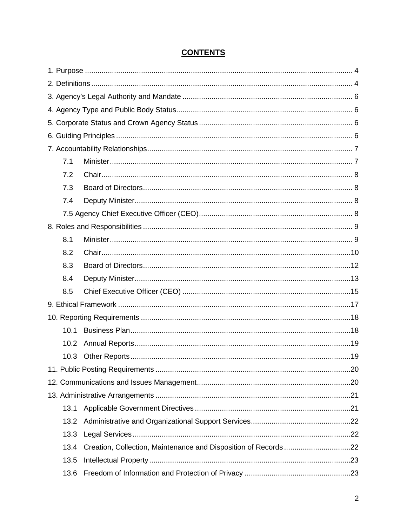# **CONTENTS**

| 7.1  |  |  |  |  |  |
|------|--|--|--|--|--|
| 7.2  |  |  |  |  |  |
| 7.3  |  |  |  |  |  |
| 7.4  |  |  |  |  |  |
|      |  |  |  |  |  |
|      |  |  |  |  |  |
| 8.1  |  |  |  |  |  |
| 8.2  |  |  |  |  |  |
| 8.3  |  |  |  |  |  |
| 8.4  |  |  |  |  |  |
| 8.5  |  |  |  |  |  |
|      |  |  |  |  |  |
|      |  |  |  |  |  |
| 10.1 |  |  |  |  |  |
| 10.2 |  |  |  |  |  |
| 10.3 |  |  |  |  |  |
|      |  |  |  |  |  |
|      |  |  |  |  |  |
|      |  |  |  |  |  |
| 13.1 |  |  |  |  |  |
| 13.2 |  |  |  |  |  |
| 13.3 |  |  |  |  |  |
| 13.4 |  |  |  |  |  |
| 13.5 |  |  |  |  |  |
| 13.6 |  |  |  |  |  |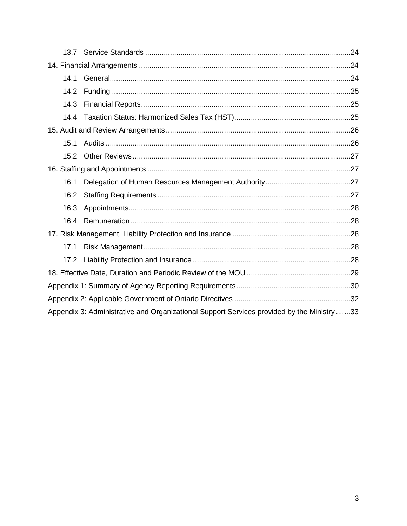| 14.1 |                                                                                            |  |  |
|------|--------------------------------------------------------------------------------------------|--|--|
| 14.2 |                                                                                            |  |  |
| 14.3 |                                                                                            |  |  |
| 14.4 |                                                                                            |  |  |
|      |                                                                                            |  |  |
| 15.1 |                                                                                            |  |  |
| 15.2 |                                                                                            |  |  |
|      |                                                                                            |  |  |
| 16.1 |                                                                                            |  |  |
| 16.2 |                                                                                            |  |  |
| 16.3 |                                                                                            |  |  |
| 16.4 |                                                                                            |  |  |
|      |                                                                                            |  |  |
| 17.1 |                                                                                            |  |  |
|      |                                                                                            |  |  |
|      |                                                                                            |  |  |
|      |                                                                                            |  |  |
|      |                                                                                            |  |  |
|      | Appendix 3: Administrative and Organizational Support Services provided by the Ministry 33 |  |  |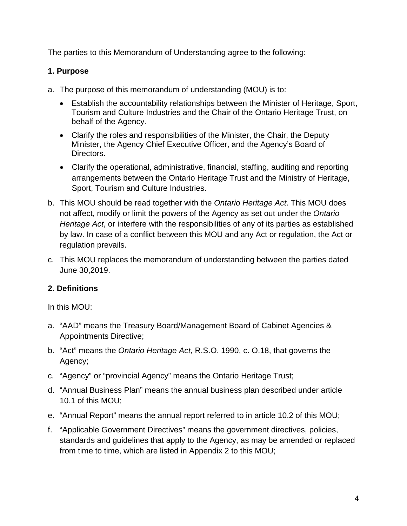The parties to this Memorandum of Understanding agree to the following:

# <span id="page-3-0"></span>**1. Purpose**

- a. The purpose of this memorandum of understanding (MOU) is to:
	- Establish the accountability relationships between the Minister of Heritage, Sport, Tourism and Culture Industries and the Chair of the Ontario Heritage Trust, on behalf of the Agency.
	- Clarify the roles and responsibilities of the Minister, the Chair, the Deputy Minister, the Agency Chief Executive Officer, and the Agency's Board of Directors.
	- Clarify the operational, administrative, financial, staffing, auditing and reporting arrangements between the Ontario Heritage Trust and the Ministry of Heritage, Sport, Tourism and Culture Industries.
- b. This MOU should be read together with the *Ontario Heritage Act*. This MOU does not affect, modify or limit the powers of the Agency as set out under the *Ontario Heritage Act*, or interfere with the responsibilities of any of its parties as established by law. In case of a conflict between this MOU and any Act or regulation, the Act or regulation prevails.
- c. This MOU replaces the memorandum of understanding between the parties dated June 30,2019.

# <span id="page-3-1"></span>**2. Definitions**

In this MOU:

- a. "AAD" means the Treasury Board/Management Board of Cabinet Agencies & Appointments Directive;
- b. "Act" means the *Ontario Heritage Act*, R.S.O. 1990, c. O.18, that governs the Agency;
- c. "Agency" or "provincial Agency" means the Ontario Heritage Trust;
- d. "Annual Business Plan" means the annual business plan described under article 10.1 of this MOU;
- e. "Annual Report" means the annual report referred to in article 10.2 of this MOU;
- f. "Applicable Government Directives" means the government directives, policies, standards and guidelines that apply to the Agency, as may be amended or replaced from time to time, which are listed in Appendix 2 to this MOU;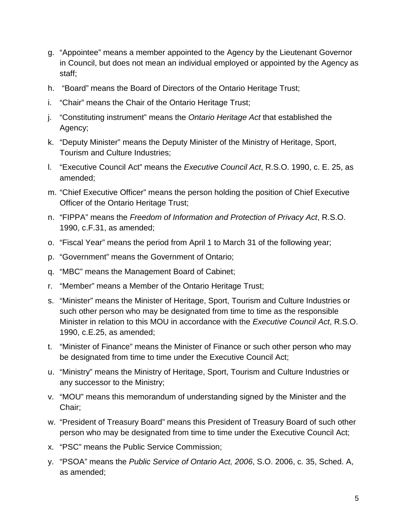- g. "Appointee" means a member appointed to the Agency by the Lieutenant Governor in Council, but does not mean an individual employed or appointed by the Agency as staff;
- h. "Board" means the Board of Directors of the Ontario Heritage Trust;
- i. "Chair" means the Chair of the Ontario Heritage Trust;
- j. "Constituting instrument" means the *Ontario Heritage Act* that established the Agency;
- k. "Deputy Minister" means the Deputy Minister of the Ministry of Heritage, Sport, Tourism and Culture Industries;
- l. "Executive Council Act" means the *Executive Council Act*, R.S.O. 1990, c. E. 25, as amended;
- m. "Chief Executive Officer" means the person holding the position of Chief Executive Officer of the Ontario Heritage Trust;
- n. "FIPPA" means the *Freedom of Information and Protection of Privacy Act*, R.S.O. 1990, c.F.31, as amended;
- o. "Fiscal Year" means the period from April 1 to March 31 of the following year;
- p. "Government" means the Government of Ontario;
- q. "MBC" means the Management Board of Cabinet;
- r. "Member" means a Member of the Ontario Heritage Trust;
- s. "Minister" means the Minister of Heritage, Sport, Tourism and Culture Industries or such other person who may be designated from time to time as the responsible Minister in relation to this MOU in accordance with the *Executive Council Act*, R.S.O. 1990, c.E.25, as amended;
- t. "Minister of Finance" means the Minister of Finance or such other person who may be designated from time to time under the Executive Council Act;
- u. "Ministry" means the Ministry of Heritage, Sport, Tourism and Culture Industries or any successor to the Ministry;
- v. "MOU" means this memorandum of understanding signed by the Minister and the Chair;
- w. "President of Treasury Board" means this President of Treasury Board of such other person who may be designated from time to time under the Executive Council Act;
- x. "PSC" means the Public Service Commission;
- y. "PSOA" means the *Public Service of Ontario Act, 2006*, S.O. 2006, c. 35, Sched. A, as amended;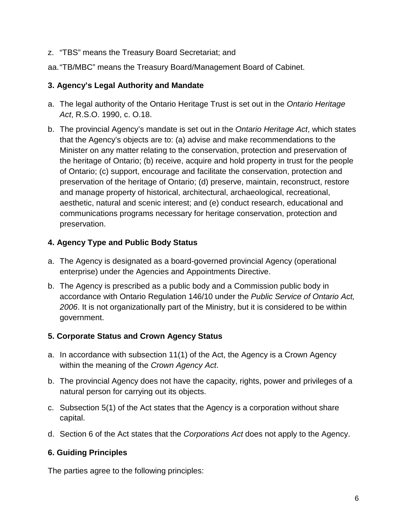z. "TBS" means the Treasury Board Secretariat; and

aa."TB/MBC" means the Treasury Board/Management Board of Cabinet.

### <span id="page-5-0"></span>**3. Agency's Legal Authority and Mandate**

- a. The legal authority of the Ontario Heritage Trust is set out in the *Ontario Heritage Act*, R.S.O. 1990, c. O.18.
- b. The provincial Agency's mandate is set out in the *Ontario Heritage Act*, which states that the Agency's objects are to: (a) advise and make recommendations to the Minister on any matter relating to the conservation, protection and preservation of the heritage of Ontario; (b) receive, acquire and hold property in trust for the people of Ontario; (c) support, encourage and facilitate the conservation, protection and preservation of the heritage of Ontario; (d) preserve, maintain, reconstruct, restore and manage property of historical, architectural, archaeological, recreational, aesthetic, natural and scenic interest; and (e) conduct research, educational and communications programs necessary for heritage conservation, protection and preservation.

### <span id="page-5-1"></span>**4. Agency Type and Public Body Status**

- a. The Agency is designated as a board-governed provincial Agency (operational enterprise) under the Agencies and Appointments Directive.
- b. The Agency is prescribed as a public body and a Commission public body in accordance with Ontario Regulation 146/10 under the *Public Service of Ontario Act, 2006*. It is not organizationally part of the Ministry, but it is considered to be within government.

# <span id="page-5-2"></span>**5. Corporate Status and Crown Agency Status**

- a. In accordance with subsection 11(1) of the Act, the Agency is a Crown Agency within the meaning of the *Crown Agency Act*.
- b. The provincial Agency does not have the capacity, rights, power and privileges of a natural person for carrying out its objects.
- c. Subsection 5(1) of the Act states that the Agency is a corporation without share capital.
- d. Section 6 of the Act states that the *Corporations Act* does not apply to the Agency.

# <span id="page-5-3"></span>**6. Guiding Principles**

The parties agree to the following principles: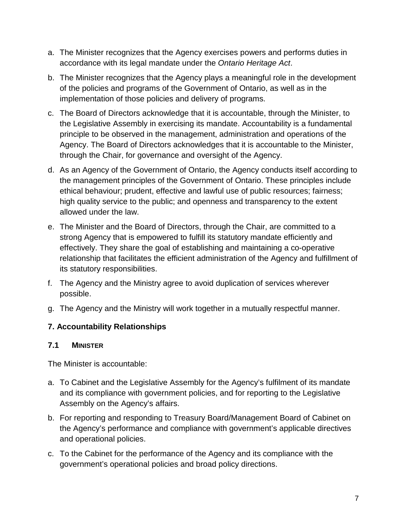- a. The Minister recognizes that the Agency exercises powers and performs duties in accordance with its legal mandate under the *Ontario Heritage Act*.
- b. The Minister recognizes that the Agency plays a meaningful role in the development of the policies and programs of the Government of Ontario, as well as in the implementation of those policies and delivery of programs.
- c. The Board of Directors acknowledge that it is accountable, through the Minister, to the Legislative Assembly in exercising its mandate. Accountability is a fundamental principle to be observed in the management, administration and operations of the Agency. The Board of Directors acknowledges that it is accountable to the Minister, through the Chair, for governance and oversight of the Agency.
- d. As an Agency of the Government of Ontario, the Agency conducts itself according to the management principles of the Government of Ontario. These principles include ethical behaviour; prudent, effective and lawful use of public resources; fairness; high quality service to the public; and openness and transparency to the extent allowed under the law.
- e. The Minister and the Board of Directors, through the Chair, are committed to a strong Agency that is empowered to fulfill its statutory mandate efficiently and effectively. They share the goal of establishing and maintaining a co-operative relationship that facilitates the efficient administration of the Agency and fulfillment of its statutory responsibilities.
- f. The Agency and the Ministry agree to avoid duplication of services wherever possible.
- g. The Agency and the Ministry will work together in a mutually respectful manner.

# <span id="page-6-0"></span>**7. Accountability Relationships**

### <span id="page-6-1"></span>**7.1 MINISTER**

The Minister is accountable:

- a. To Cabinet and the Legislative Assembly for the Agency's fulfilment of its mandate and its compliance with government policies, and for reporting to the Legislative Assembly on the Agency's affairs.
- b. For reporting and responding to Treasury Board/Management Board of Cabinet on the Agency's performance and compliance with government's applicable directives and operational policies.
- c. To the Cabinet for the performance of the Agency and its compliance with the government's operational policies and broad policy directions.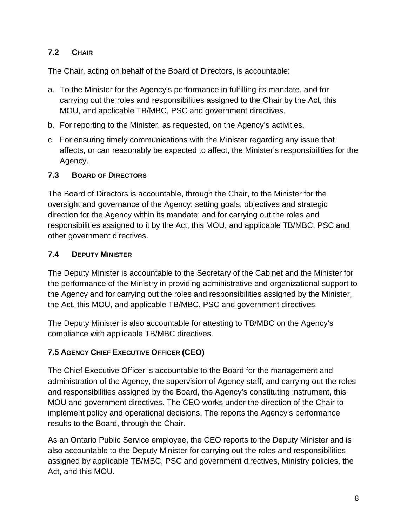# <span id="page-7-0"></span>**7.2 CHAIR**

The Chair, acting on behalf of the Board of Directors, is accountable:

- a. To the Minister for the Agency's performance in fulfilling its mandate, and for carrying out the roles and responsibilities assigned to the Chair by the Act, this MOU, and applicable TB/MBC, PSC and government directives.
- b. For reporting to the Minister, as requested, on the Agency's activities.
- c. For ensuring timely communications with the Minister regarding any issue that affects, or can reasonably be expected to affect, the Minister's responsibilities for the Agency.

#### <span id="page-7-1"></span>**7.3 BOARD OF DIRECTORS**

The Board of Directors is accountable, through the Chair, to the Minister for the oversight and governance of the Agency; setting goals, objectives and strategic direction for the Agency within its mandate; and for carrying out the roles and responsibilities assigned to it by the Act, this MOU, and applicable TB/MBC, PSC and other government directives.

### <span id="page-7-2"></span>**7.4 DEPUTY MINISTER**

The Deputy Minister is accountable to the Secretary of the Cabinet and the Minister for the performance of the Ministry in providing administrative and organizational support to the Agency and for carrying out the roles and responsibilities assigned by the Minister, the Act, this MOU, and applicable TB/MBC, PSC and government directives.

The Deputy Minister is also accountable for attesting to TB/MBC on the Agency's compliance with applicable TB/MBC directives.

### <span id="page-7-3"></span>**7.5 AGENCY CHIEF EXECUTIVE OFFICER (CEO)**

The Chief Executive Officer is accountable to the Board for the management and administration of the Agency, the supervision of Agency staff, and carrying out the roles and responsibilities assigned by the Board, the Agency's constituting instrument, this MOU and government directives. The CEO works under the direction of the Chair to implement policy and operational decisions. The reports the Agency's performance results to the Board, through the Chair.

As an Ontario Public Service employee, the CEO reports to the Deputy Minister and is also accountable to the Deputy Minister for carrying out the roles and responsibilities assigned by applicable TB/MBC, PSC and government directives, Ministry policies, the Act, and this MOU.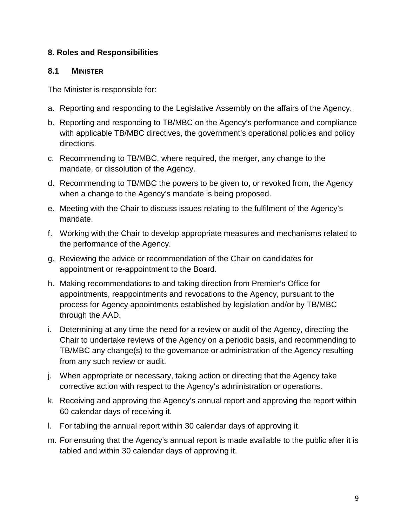### <span id="page-8-0"></span>**8. Roles and Responsibilities**

### <span id="page-8-1"></span>**8.1 MINISTER**

The Minister is responsible for:

- a. Reporting and responding to the Legislative Assembly on the affairs of the Agency.
- b. Reporting and responding to TB/MBC on the Agency's performance and compliance with applicable TB/MBC directives, the government's operational policies and policy directions.
- c. Recommending to TB/MBC, where required, the merger, any change to the mandate, or dissolution of the Agency.
- d. Recommending to TB/MBC the powers to be given to, or revoked from, the Agency when a change to the Agency's mandate is being proposed.
- e. Meeting with the Chair to discuss issues relating to the fulfilment of the Agency's mandate.
- f. Working with the Chair to develop appropriate measures and mechanisms related to the performance of the Agency.
- g. Reviewing the advice or recommendation of the Chair on candidates for appointment or re-appointment to the Board.
- h. Making recommendations to and taking direction from Premier's Office for appointments, reappointments and revocations to the Agency, pursuant to the process for Agency appointments established by legislation and/or by TB/MBC through the AAD.
- i. Determining at any time the need for a review or audit of the Agency, directing the Chair to undertake reviews of the Agency on a periodic basis, and recommending to TB/MBC any change(s) to the governance or administration of the Agency resulting from any such review or audit.
- j. When appropriate or necessary, taking action or directing that the Agency take corrective action with respect to the Agency's administration or operations.
- k. Receiving and approving the Agency's annual report and approving the report within 60 calendar days of receiving it.
- l. For tabling the annual report within 30 calendar days of approving it.
- m. For ensuring that the Agency's annual report is made available to the public after it is tabled and within 30 calendar days of approving it.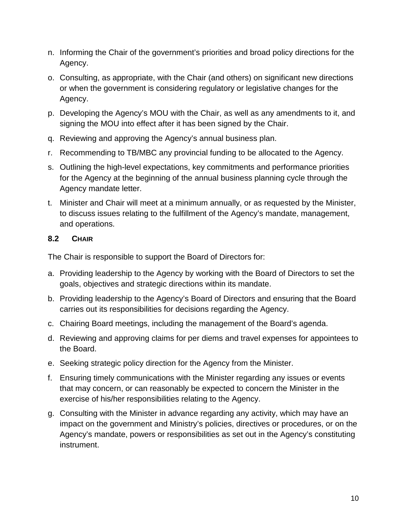- n. Informing the Chair of the government's priorities and broad policy directions for the Agency.
- o. Consulting, as appropriate, with the Chair (and others) on significant new directions or when the government is considering regulatory or legislative changes for the Agency.
- p. Developing the Agency's MOU with the Chair, as well as any amendments to it, and signing the MOU into effect after it has been signed by the Chair.
- q. Reviewing and approving the Agency's annual business plan.
- r. Recommending to TB/MBC any provincial funding to be allocated to the Agency.
- s. Outlining the high-level expectations, key commitments and performance priorities for the Agency at the beginning of the annual business planning cycle through the Agency mandate letter.
- t. Minister and Chair will meet at a minimum annually, or as requested by the Minister, to discuss issues relating to the fulfillment of the Agency's mandate, management, and operations.

### <span id="page-9-0"></span>**8.2 CHAIR**

The Chair is responsible to support the Board of Directors for:

- a. Providing leadership to the Agency by working with the Board of Directors to set the goals, objectives and strategic directions within its mandate.
- b. Providing leadership to the Agency's Board of Directors and ensuring that the Board carries out its responsibilities for decisions regarding the Agency.
- c. Chairing Board meetings, including the management of the Board's agenda.
- d. Reviewing and approving claims for per diems and travel expenses for appointees to the Board.
- e. Seeking strategic policy direction for the Agency from the Minister.
- f. Ensuring timely communications with the Minister regarding any issues or events that may concern, or can reasonably be expected to concern the Minister in the exercise of his/her responsibilities relating to the Agency.
- g. Consulting with the Minister in advance regarding any activity, which may have an impact on the government and Ministry's policies, directives or procedures, or on the Agency's mandate, powers or responsibilities as set out in the Agency's constituting instrument.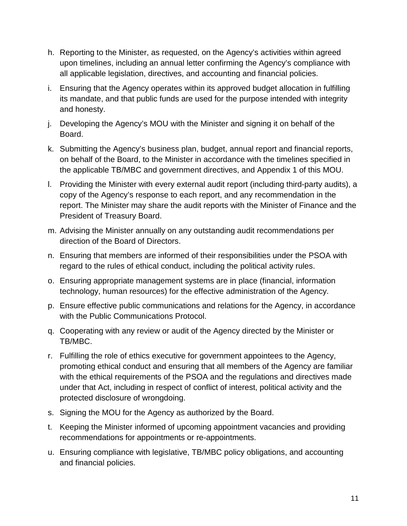- h. Reporting to the Minister, as requested, on the Agency's activities within agreed upon timelines, including an annual letter confirming the Agency's compliance with all applicable legislation, directives, and accounting and financial policies.
- i. Ensuring that the Agency operates within its approved budget allocation in fulfilling its mandate, and that public funds are used for the purpose intended with integrity and honesty.
- j. Developing the Agency's MOU with the Minister and signing it on behalf of the Board.
- k. Submitting the Agency's business plan, budget, annual report and financial reports, on behalf of the Board, to the Minister in accordance with the timelines specified in the applicable TB/MBC and government directives, and Appendix 1 of this MOU.
- l. Providing the Minister with every external audit report (including third-party audits), a copy of the Agency's response to each report, and any recommendation in the report. The Minister may share the audit reports with the Minister of Finance and the President of Treasury Board.
- m. Advising the Minister annually on any outstanding audit recommendations per direction of the Board of Directors.
- n. Ensuring that members are informed of their responsibilities under the PSOA with regard to the rules of ethical conduct, including the political activity rules.
- o. Ensuring appropriate management systems are in place (financial, information technology, human resources) for the effective administration of the Agency.
- p. Ensure effective public communications and relations for the Agency, in accordance with the Public Communications Protocol.
- q. Cooperating with any review or audit of the Agency directed by the Minister or TB/MBC.
- r. Fulfilling the role of ethics executive for government appointees to the Agency, promoting ethical conduct and ensuring that all members of the Agency are familiar with the ethical requirements of the PSOA and the regulations and directives made under that Act, including in respect of conflict of interest, political activity and the protected disclosure of wrongdoing.
- s. Signing the MOU for the Agency as authorized by the Board.
- t. Keeping the Minister informed of upcoming appointment vacancies and providing recommendations for appointments or re-appointments.
- u. Ensuring compliance with legislative, TB/MBC policy obligations, and accounting and financial policies.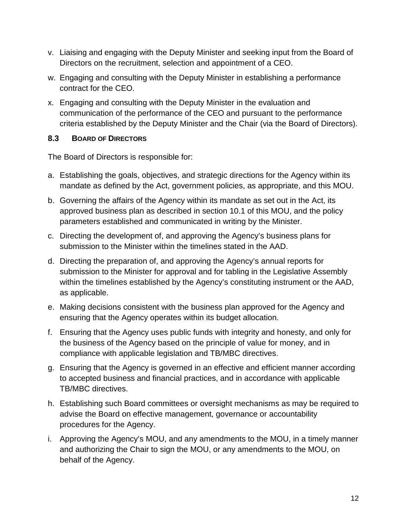- v. Liaising and engaging with the Deputy Minister and seeking input from the Board of Directors on the recruitment, selection and appointment of a CEO.
- w. Engaging and consulting with the Deputy Minister in establishing a performance contract for the CEO.
- x. Engaging and consulting with the Deputy Minister in the evaluation and communication of the performance of the CEO and pursuant to the performance criteria established by the Deputy Minister and the Chair (via the Board of Directors).

# <span id="page-11-0"></span>**8.3 BOARD OF DIRECTORS**

The Board of Directors is responsible for:

- a. Establishing the goals, objectives, and strategic directions for the Agency within its mandate as defined by the Act, government policies, as appropriate, and this MOU.
- b. Governing the affairs of the Agency within its mandate as set out in the Act, its approved business plan as described in section 10.1 of this MOU, and the policy parameters established and communicated in writing by the Minister.
- c. Directing the development of, and approving the Agency's business plans for submission to the Minister within the timelines stated in the AAD.
- d. Directing the preparation of, and approving the Agency's annual reports for submission to the Minister for approval and for tabling in the Legislative Assembly within the timelines established by the Agency's constituting instrument or the AAD, as applicable.
- e. Making decisions consistent with the business plan approved for the Agency and ensuring that the Agency operates within its budget allocation.
- f. Ensuring that the Agency uses public funds with integrity and honesty, and only for the business of the Agency based on the principle of value for money, and in compliance with applicable legislation and TB/MBC directives.
- g. Ensuring that the Agency is governed in an effective and efficient manner according to accepted business and financial practices, and in accordance with applicable TB/MBC directives.
- h. Establishing such Board committees or oversight mechanisms as may be required to advise the Board on effective management, governance or accountability procedures for the Agency.
- i. Approving the Agency's MOU, and any amendments to the MOU, in a timely manner and authorizing the Chair to sign the MOU, or any amendments to the MOU, on behalf of the Agency.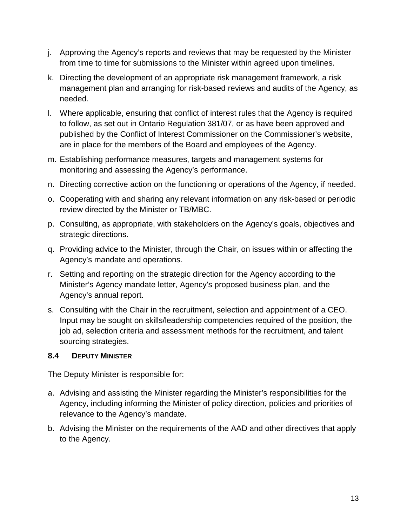- j. Approving the Agency's reports and reviews that may be requested by the Minister from time to time for submissions to the Minister within agreed upon timelines.
- k. Directing the development of an appropriate risk management framework, a risk management plan and arranging for risk-based reviews and audits of the Agency, as needed.
- l. Where applicable, ensuring that conflict of interest rules that the Agency is required to follow, as set out in Ontario Regulation 381/07, or as have been approved and published by the Conflict of Interest Commissioner on the Commissioner's website, are in place for the members of the Board and employees of the Agency.
- m. Establishing performance measures, targets and management systems for monitoring and assessing the Agency's performance.
- n. Directing corrective action on the functioning or operations of the Agency, if needed.
- o. Cooperating with and sharing any relevant information on any risk-based or periodic review directed by the Minister or TB/MBC.
- p. Consulting, as appropriate, with stakeholders on the Agency's goals, objectives and strategic directions.
- q. Providing advice to the Minister, through the Chair, on issues within or affecting the Agency's mandate and operations.
- r. Setting and reporting on the strategic direction for the Agency according to the Minister's Agency mandate letter, Agency's proposed business plan, and the Agency's annual report.
- s. Consulting with the Chair in the recruitment, selection and appointment of a CEO. Input may be sought on skills/leadership competencies required of the position, the job ad, selection criteria and assessment methods for the recruitment, and talent sourcing strategies.

# <span id="page-12-0"></span>**8.4 DEPUTY MINISTER**

The Deputy Minister is responsible for:

- a. Advising and assisting the Minister regarding the Minister's responsibilities for the Agency, including informing the Minister of policy direction, policies and priorities of relevance to the Agency's mandate.
- b. Advising the Minister on the requirements of the AAD and other directives that apply to the Agency.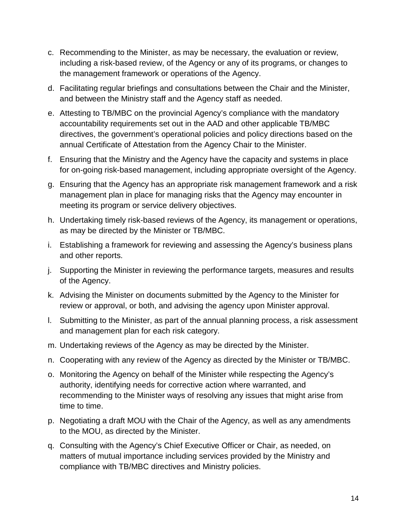- c. Recommending to the Minister, as may be necessary, the evaluation or review, including a risk-based review, of the Agency or any of its programs, or changes to the management framework or operations of the Agency.
- d. Facilitating regular briefings and consultations between the Chair and the Minister, and between the Ministry staff and the Agency staff as needed.
- e. Attesting to TB/MBC on the provincial Agency's compliance with the mandatory accountability requirements set out in the AAD and other applicable TB/MBC directives, the government's operational policies and policy directions based on the annual Certificate of Attestation from the Agency Chair to the Minister.
- f. Ensuring that the Ministry and the Agency have the capacity and systems in place for on-going risk-based management, including appropriate oversight of the Agency.
- g. Ensuring that the Agency has an appropriate risk management framework and a risk management plan in place for managing risks that the Agency may encounter in meeting its program or service delivery objectives.
- h. Undertaking timely risk-based reviews of the Agency, its management or operations, as may be directed by the Minister or TB/MBC.
- i. Establishing a framework for reviewing and assessing the Agency's business plans and other reports.
- j. Supporting the Minister in reviewing the performance targets, measures and results of the Agency.
- k. Advising the Minister on documents submitted by the Agency to the Minister for review or approval, or both, and advising the agency upon Minister approval.
- l. Submitting to the Minister, as part of the annual planning process, a risk assessment and management plan for each risk category.
- m. Undertaking reviews of the Agency as may be directed by the Minister.
- n. Cooperating with any review of the Agency as directed by the Minister or TB/MBC.
- o. Monitoring the Agency on behalf of the Minister while respecting the Agency's authority, identifying needs for corrective action where warranted, and recommending to the Minister ways of resolving any issues that might arise from time to time.
- p. Negotiating a draft MOU with the Chair of the Agency, as well as any amendments to the MOU, as directed by the Minister.
- q. Consulting with the Agency's Chief Executive Officer or Chair, as needed, on matters of mutual importance including services provided by the Ministry and compliance with TB/MBC directives and Ministry policies.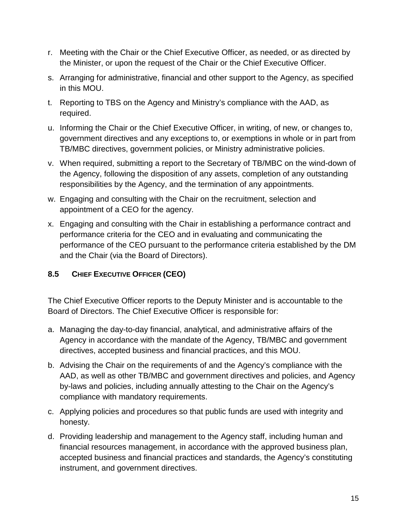- r. Meeting with the Chair or the Chief Executive Officer, as needed, or as directed by the Minister, or upon the request of the Chair or the Chief Executive Officer.
- s. Arranging for administrative, financial and other support to the Agency, as specified in this MOU.
- t. Reporting to TBS on the Agency and Ministry's compliance with the AAD, as required.
- u. Informing the Chair or the Chief Executive Officer, in writing, of new, or changes to, government directives and any exceptions to, or exemptions in whole or in part from TB/MBC directives, government policies, or Ministry administrative policies.
- v. When required, submitting a report to the Secretary of TB/MBC on the wind-down of the Agency, following the disposition of any assets, completion of any outstanding responsibilities by the Agency, and the termination of any appointments.
- w. Engaging and consulting with the Chair on the recruitment, selection and appointment of a CEO for the agency.
- x. Engaging and consulting with the Chair in establishing a performance contract and performance criteria for the CEO and in evaluating and communicating the performance of the CEO pursuant to the performance criteria established by the DM and the Chair (via the Board of Directors).

# <span id="page-14-0"></span>**8.5 CHIEF EXECUTIVE OFFICER (CEO)**

The Chief Executive Officer reports to the Deputy Minister and is accountable to the Board of Directors. The Chief Executive Officer is responsible for:

- a. Managing the day-to-day financial, analytical, and administrative affairs of the Agency in accordance with the mandate of the Agency, TB/MBC and government directives, accepted business and financial practices, and this MOU.
- b. Advising the Chair on the requirements of and the Agency's compliance with the AAD, as well as other TB/MBC and government directives and policies, and Agency by-laws and policies, including annually attesting to the Chair on the Agency's compliance with mandatory requirements.
- c. Applying policies and procedures so that public funds are used with integrity and honesty.
- d. Providing leadership and management to the Agency staff, including human and financial resources management, in accordance with the approved business plan, accepted business and financial practices and standards, the Agency's constituting instrument, and government directives.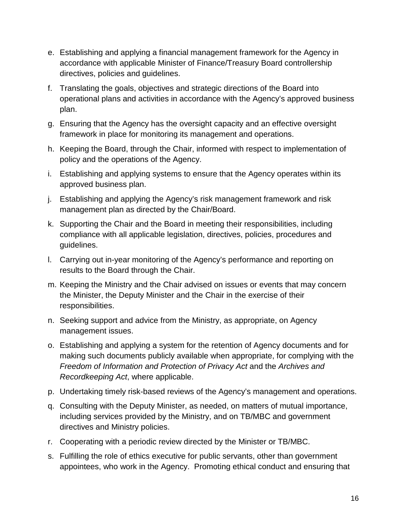- e. Establishing and applying a financial management framework for the Agency in accordance with applicable Minister of Finance/Treasury Board controllership directives, policies and guidelines.
- f. Translating the goals, objectives and strategic directions of the Board into operational plans and activities in accordance with the Agency's approved business plan.
- g. Ensuring that the Agency has the oversight capacity and an effective oversight framework in place for monitoring its management and operations.
- h. Keeping the Board, through the Chair, informed with respect to implementation of policy and the operations of the Agency.
- i. Establishing and applying systems to ensure that the Agency operates within its approved business plan.
- j. Establishing and applying the Agency's risk management framework and risk management plan as directed by the Chair/Board.
- k. Supporting the Chair and the Board in meeting their responsibilities, including compliance with all applicable legislation, directives, policies, procedures and guidelines.
- l. Carrying out in-year monitoring of the Agency's performance and reporting on results to the Board through the Chair.
- m. Keeping the Ministry and the Chair advised on issues or events that may concern the Minister, the Deputy Minister and the Chair in the exercise of their responsibilities.
- n. Seeking support and advice from the Ministry, as appropriate, on Agency management issues.
- o. Establishing and applying a system for the retention of Agency documents and for making such documents publicly available when appropriate, for complying with the *Freedom of Information and Protection of Privacy Act and the Archives and Recordkeeping Act*, where applicable.
- p. Undertaking timely risk-based reviews of the Agency's management and operations.
- q. Consulting with the Deputy Minister, as needed, on matters of mutual importance, including services provided by the Ministry, and on TB/MBC and government directives and Ministry policies.
- r. Cooperating with a periodic review directed by the Minister or TB/MBC.
- s. Fulfilling the role of ethics executive for public servants, other than government appointees, who work in the Agency. Promoting ethical conduct and ensuring that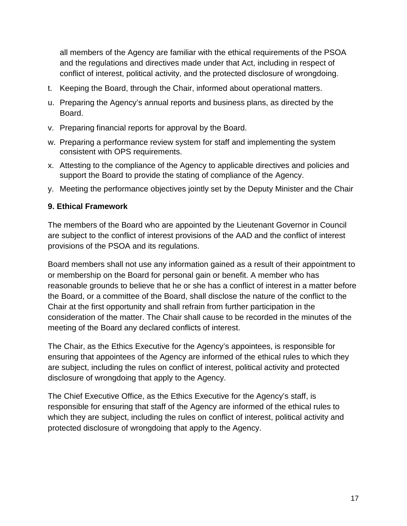<span id="page-16-1"></span>all members of the Agency are familiar with the ethical requirements of the PSOA and the regulations and directives made under that Act, including in respect of conflict of interest, political activity, and the protected disclosure of wrongdoing.

- t. Keeping the Board, through the Chair, informed about operational matters.
- u. Preparing the Agency's annual reports and business plans, as directed by the Board.
- v. Preparing financial reports for approval by the Board.
- w. Preparing a performance review system for staff and implementing the system consistent with OPS requirements.
- x. Attesting to the compliance of the Agency to applicable directives and policies and support the Board to provide the stating of compliance of the Agency.
- y. Meeting the performance objectives jointly set by the Deputy Minister and the Chair

### <span id="page-16-0"></span>**9. Ethical Framework**

The members of the Board who are appointed by the Lieutenant Governor in Council are subject to the conflict of interest provisions of the AAD and the conflict of interest provisions of the PSOA and its regulations.

Board members shall not use any information gained as a result of their appointment to or membership on the Board for personal gain or benefit. A member who has reasonable grounds to believe that he or she has a conflict of interest in a matter before the Board, or a committee of the Board, shall disclose the nature of the conflict to the Chair at the first opportunity and shall refrain from further participation in the consideration of the matter. The Chair shall cause to be recorded in the minutes of the meeting of the Board any declared conflicts of interest.

The Chair, as the Ethics Executive for the Agency's appointees, is responsible for ensuring that appointees of the Agency are informed of the ethical rules to which they are subject, including the rules on conflict of interest, political activity and protected disclosure of wrongdoing that apply to the Agency.

The Chief Executive Office, as the Ethics Executive for the Agency's staff, is responsible for ensuring that staff of the Agency are informed of the ethical rules to which they are subject, including the rules on conflict of interest, political activity and protected disclosure of wrongdoing that apply to the Agency.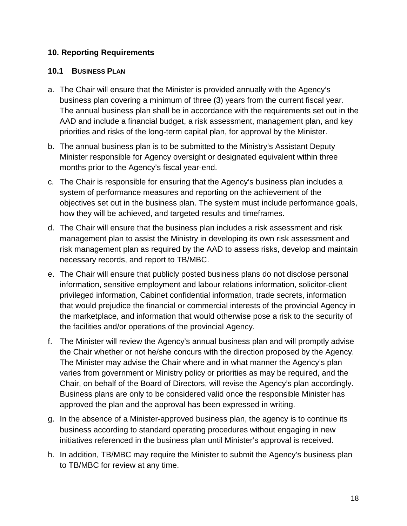### <span id="page-17-0"></span>**10. Reporting Requirements**

#### **10.1 BUSINESS PLAN**

- a. The Chair will ensure that the Minister is provided annually with the Agency's business plan covering a minimum of three (3) years from the current fiscal year. The annual business plan shall be in accordance with the requirements set out in the AAD and include a financial budget, a risk assessment, management plan, and key priorities and risks of the long-term capital plan, for approval by the Minister.
- b. The annual business plan is to be submitted to the Ministry's Assistant Deputy Minister responsible for Agency oversight or designated equivalent within three months prior to the Agency's fiscal year-end.
- c. The Chair is responsible for ensuring that the Agency's business plan includes a system of performance measures and reporting on the achievement of the objectives set out in the business plan. The system must include performance goals, how they will be achieved, and targeted results and timeframes.
- d. The Chair will ensure that the business plan includes a risk assessment and risk management plan to assist the Ministry in developing its own risk assessment and risk management plan as required by the AAD to assess risks, develop and maintain necessary records, and report to TB/MBC.
- e. The Chair will ensure that publicly posted business plans do not disclose personal information, sensitive employment and labour relations information, solicitor-client privileged information, Cabinet confidential information, trade secrets, information that would prejudice the financial or commercial interests of the provincial Agency in the marketplace, and information that would otherwise pose a risk to the security of the facilities and/or operations of the provincial Agency.
- f. The Minister will review the Agency's annual business plan and will promptly advise the Chair whether or not he/she concurs with the direction proposed by the Agency. The Minister may advise the Chair where and in what manner the Agency's plan varies from government or Ministry policy or priorities as may be required, and the Chair, on behalf of the Board of Directors, will revise the Agency's plan accordingly. Business plans are only to be considered valid once the responsible Minister has approved the plan and the approval has been expressed in writing.
- g. In the absence of a Minister-approved business plan, the agency is to continue its business according to standard operating procedures without engaging in new initiatives referenced in the business plan until Minister's approval is received.
- h. In addition, TB/MBC may require the Minister to submit the Agency's business plan to TB/MBC for review at any time.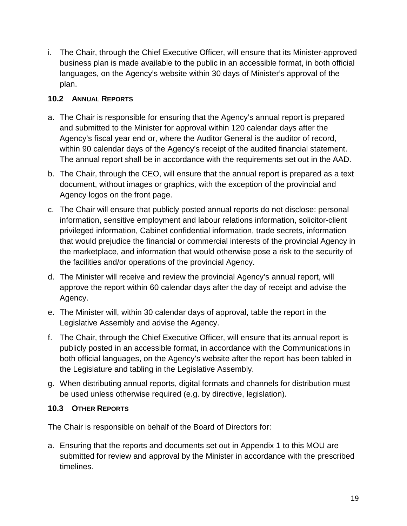i. The Chair, through the Chief Executive Officer, will ensure that its Minister-approved business plan is made available to the public in an accessible format, in both official languages, on the Agency's website within 30 days of Minister's approval of the plan.

# <span id="page-18-0"></span>**10.2 ANNUAL REPORTS**

- a. The Chair is responsible for ensuring that the Agency's annual report is prepared and submitted to the Minister for approval within 120 calendar days after the Agency's fiscal year end or, where the Auditor General is the auditor of record, within 90 calendar days of the Agency's receipt of the audited financial statement. The annual report shall be in accordance with the requirements set out in the AAD.
- b. The Chair, through the CEO, will ensure that the annual report is prepared as a text document, without images or graphics, with the exception of the provincial and Agency logos on the front page.
- c. The Chair will ensure that publicly posted annual reports do not disclose: personal information, sensitive employment and labour relations information, solicitor-client privileged information, Cabinet confidential information, trade secrets, information that would prejudice the financial or commercial interests of the provincial Agency in the marketplace, and information that would otherwise pose a risk to the security of the facilities and/or operations of the provincial Agency.
- d. The Minister will receive and review the provincial Agency's annual report, will approve the report within 60 calendar days after the day of receipt and advise the Agency.
- e. The Minister will, within 30 calendar days of approval, table the report in the Legislative Assembly and advise the Agency.
- f. The Chair, through the Chief Executive Officer, will ensure that its annual report is publicly posted in an accessible format, in accordance with the Communications in both official languages, on the Agency's website after the report has been tabled in the Legislature and tabling in the Legislative Assembly.
- g. When distributing annual reports, digital formats and channels for distribution must be used unless otherwise required (e.g. by directive, legislation).

# <span id="page-18-1"></span>**10.3 OTHER REPORTS**

The Chair is responsible on behalf of the Board of Directors for:

a. Ensuring that the reports and documents set out in Appendix 1 to this MOU are submitted for review and approval by the Minister in accordance with the prescribed timelines.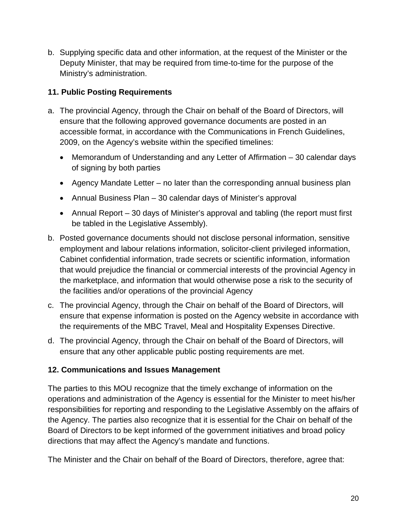b. Supplying specific data and other information, at the request of the Minister or the Deputy Minister, that may be required from time-to-time for the purpose of the Ministry's administration.

### <span id="page-19-0"></span>**11. Public Posting Requirements**

- a. The provincial Agency, through the Chair on behalf of the Board of Directors, will ensure that the following approved governance documents are posted in an accessible format, in accordance with the Communications in French Guidelines, 2009, on the Agency's website within the specified timelines:
	- Memorandum of Understanding and any Letter of Affirmation 30 calendar days of signing by both parties
	- Agency Mandate Letter no later than the corresponding annual business plan
	- Annual Business Plan 30 calendar days of Minister's approval
	- Annual Report 30 days of Minister's approval and tabling (the report must first be tabled in the Legislative Assembly).
- b. Posted governance documents should not disclose personal information, sensitive employment and labour relations information, solicitor-client privileged information, Cabinet confidential information, trade secrets or scientific information, information that would prejudice the financial or commercial interests of the provincial Agency in the marketplace, and information that would otherwise pose a risk to the security of the facilities and/or operations of the provincial Agency
- c. The provincial Agency, through the Chair on behalf of the Board of Directors, will ensure that expense information is posted on the Agency website in accordance with the requirements of the MBC Travel, Meal and Hospitality Expenses Directive.
- d. The provincial Agency, through the Chair on behalf of the Board of Directors, will ensure that any other applicable public posting requirements are met.

### <span id="page-19-1"></span>**12. Communications and Issues Management**

The parties to this MOU recognize that the timely exchange of information on the operations and administration of the Agency is essential for the Minister to meet his/her responsibilities for reporting and responding to the Legislative Assembly on the affairs of the Agency. The parties also recognize that it is essential for the Chair on behalf of the Board of Directors to be kept informed of the government initiatives and broad policy directions that may affect the Agency's mandate and functions.

The Minister and the Chair on behalf of the Board of Directors, therefore, agree that: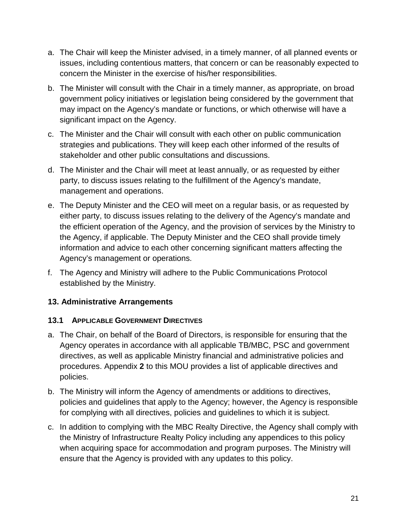- a. The Chair will keep the Minister advised, in a timely manner, of all planned events or issues, including contentious matters, that concern or can be reasonably expected to concern the Minister in the exercise of his/her responsibilities.
- b. The Minister will consult with the Chair in a timely manner, as appropriate, on broad government policy initiatives or legislation being considered by the government that may impact on the Agency's mandate or functions, or which otherwise will have a significant impact on the Agency.
- c. The Minister and the Chair will consult with each other on public communication strategies and publications. They will keep each other informed of the results of stakeholder and other public consultations and discussions.
- d. The Minister and the Chair will meet at least annually, or as requested by either party, to discuss issues relating to the fulfillment of the Agency's mandate, management and operations.
- e. The Deputy Minister and the CEO will meet on a regular basis, or as requested by either party, to discuss issues relating to the delivery of the Agency's mandate and the efficient operation of the Agency, and the provision of services by the Ministry to the Agency, if applicable. The Deputy Minister and the CEO shall provide timely information and advice to each other concerning significant matters affecting the Agency's management or operations.
- f. The Agency and Ministry will adhere to the Public Communications Protocol established by the Ministry.

# <span id="page-20-0"></span>**13. Administrative Arrangements**

### <span id="page-20-1"></span>**13.1 APPLICABLE GOVERNMENT DIRECTIVES**

- a. The Chair, on behalf of the Board of Directors, is responsible for ensuring that the Agency operates in accordance with all applicable TB/MBC, PSC and government directives, as well as applicable Ministry financial and administrative policies and procedures. Appendix **2** to this MOU provides a list of applicable directives and policies.
- b. The Ministry will inform the Agency of amendments or additions to directives, policies and guidelines that apply to the Agency; however, the Agency is responsible for complying with all directives, policies and guidelines to which it is subject.
- c. In addition to complying with the MBC Realty Directive, the Agency shall comply with the Ministry of Infrastructure Realty Policy including any appendices to this policy when acquiring space for accommodation and program purposes. The Ministry will ensure that the Agency is provided with any updates to this policy.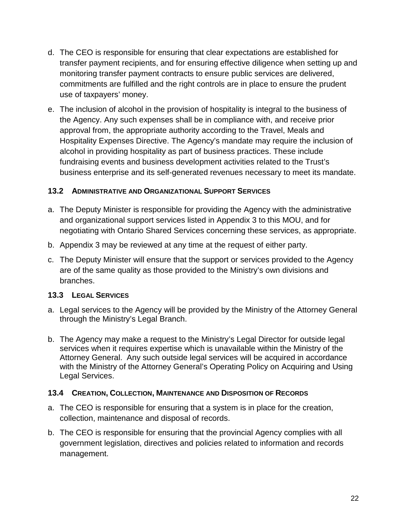- d. The CEO is responsible for ensuring that clear expectations are established for transfer payment recipients, and for ensuring effective diligence when setting up and monitoring transfer payment contracts to ensure public services are delivered, commitments are fulfilled and the right controls are in place to ensure the prudent use of taxpayers' money.
- e. The inclusion of alcohol in the provision of hospitality is integral to the business of the Agency. Any such expenses shall be in compliance with, and receive prior approval from, the appropriate authority according to the Travel, Meals and Hospitality Expenses Directive. The Agency's mandate may require the inclusion of alcohol in providing hospitality as part of business practices. These include fundraising events and business development activities related to the Trust's business enterprise and its self-generated revenues necessary to meet its mandate.

#### <span id="page-21-0"></span>**13.2 ADMINISTRATIVE AND ORGANIZATIONAL SUPPORT SERVICES**

- a. The Deputy Minister is responsible for providing the Agency with the administrative and organizational support services listed in Appendix 3 to this MOU, and for negotiating with Ontario Shared Services concerning these services, as appropriate.
- b. Appendix 3 may be reviewed at any time at the request of either party.
- c. The Deputy Minister will ensure that the support or services provided to the Agency are of the same quality as those provided to the Ministry's own divisions and branches.

#### <span id="page-21-1"></span>**13.3 LEGAL SERVICES**

- a. Legal services to the Agency will be provided by the Ministry of the Attorney General through the Ministry's Legal Branch.
- b. The Agency may make a request to the Ministry's Legal Director for outside legal services when it requires expertise which is unavailable within the Ministry of the Attorney General. Any such outside legal services will be acquired in accordance with the Ministry of the Attorney General's Operating Policy on Acquiring and Using Legal Services.

#### <span id="page-21-2"></span>**13.4 CREATION, COLLECTION, MAINTENANCE AND DISPOSITION OF RECORDS**

- a. The CEO is responsible for ensuring that a system is in place for the creation, collection, maintenance and disposal of records.
- b. The CEO is responsible for ensuring that the provincial Agency complies with all government legislation, directives and policies related to information and records management.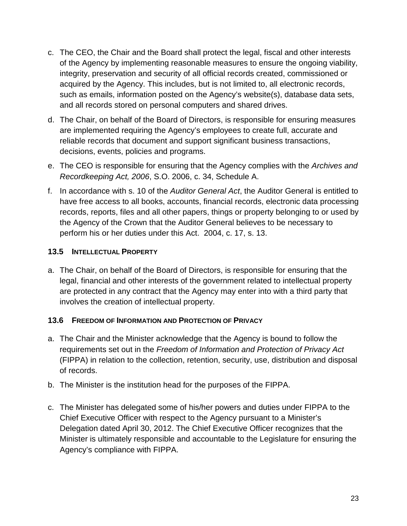- c. The CEO, the Chair and the Board shall protect the legal, fiscal and other interests of the Agency by implementing reasonable measures to ensure the ongoing viability, integrity, preservation and security of all official records created, commissioned or acquired by the Agency. This includes, but is not limited to, all electronic records, such as emails, information posted on the Agency's website(s), database data sets, and all records stored on personal computers and shared drives.
- d. The Chair, on behalf of the Board of Directors, is responsible for ensuring measures are implemented requiring the Agency's employees to create full, accurate and reliable records that document and support significant business transactions, decisions, events, policies and programs.
- e. The CEO is responsible for ensuring that the Agency complies with the *Archives and Recordkeeping Act, 2006*, S.O. 2006, c. 34, Schedule A.
- f. In accordance with s. 10 of the *Auditor General Act*, the Auditor General is entitled to have free access to all books, accounts, financial records, electronic data processing records, reports, files and all other papers, things or property belonging to or used by the Agency of the Crown that the Auditor General believes to be necessary to perform his or her duties under this Act. 2004, c. 17, s. 13.

### <span id="page-22-0"></span>**13.5 INTELLECTUAL PROPERTY**

a. The Chair, on behalf of the Board of Directors, is responsible for ensuring that the legal, financial and other interests of the government related to intellectual property are protected in any contract that the Agency may enter into with a third party that involves the creation of intellectual property.

# <span id="page-22-1"></span>**13.6 FREEDOM OF INFORMATION AND PROTECTION OF PRIVACY**

- a. The Chair and the Minister acknowledge that the Agency is bound to follow the requirements set out in the *Freedom of Information and Protection of Privacy Act* (FIPPA) in relation to the collection, retention, security, use, distribution and disposal of records.
- b. The Minister is the institution head for the purposes of the FIPPA.
- c. The Minister has delegated some of his/her powers and duties under FIPPA to the Chief Executive Officer with respect to the Agency pursuant to a Minister's Delegation dated April 30, 2012. The Chief Executive Officer recognizes that the Minister is ultimately responsible and accountable to the Legislature for ensuring the Agency's compliance with FIPPA.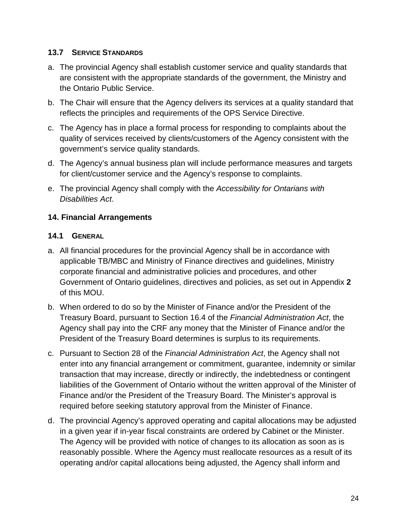### <span id="page-23-0"></span>**13.7 SERVICE STANDARDS**

- a. The provincial Agency shall establish customer service and quality standards that are consistent with the appropriate standards of the government, the Ministry and the Ontario Public Service.
- b. The Chair will ensure that the Agency delivers its services at a quality standard that reflects the principles and requirements of the OPS Service Directive.
- c. The Agency has in place a formal process for responding to complaints about the quality of services received by clients/customers of the Agency consistent with the government's service quality standards.
- d. The Agency's annual business plan will include performance measures and targets for client/customer service and the Agency's response to complaints.
- e. The provincial Agency shall comply with the *Accessibility for Ontarians with Disabilities Act*.

### <span id="page-23-1"></span>**14. Financial Arrangements**

### <span id="page-23-2"></span>**14.1 GENERAL**

- a. All financial procedures for the provincial Agency shall be in accordance with applicable TB/MBC and Ministry of Finance directives and guidelines, Ministry corporate financial and administrative policies and procedures, and other Government of Ontario guidelines, directives and policies, as set out in Appendix **2** of this MOU.
- b. When ordered to do so by the Minister of Finance and/or the President of the Treasury Board, pursuant to Section 16.4 of the *Financial Administration Act*, the Agency shall pay into the CRF any money that the Minister of Finance and/or the President of the Treasury Board determines is surplus to its requirements.
- c. Pursuant to Section 28 of the *Financial Administration Act*, the Agency shall not enter into any financial arrangement or commitment, guarantee, indemnity or similar transaction that may increase, directly or indirectly, the indebtedness or contingent liabilities of the Government of Ontario without the written approval of the Minister of Finance and/or the President of the Treasury Board. The Minister's approval is required before seeking statutory approval from the Minister of Finance.
- d. The provincial Agency's approved operating and capital allocations may be adjusted in a given year if in-year fiscal constraints are ordered by Cabinet or the Minister. The Agency will be provided with notice of changes to its allocation as soon as is reasonably possible. Where the Agency must reallocate resources as a result of its operating and/or capital allocations being adjusted, the Agency shall inform and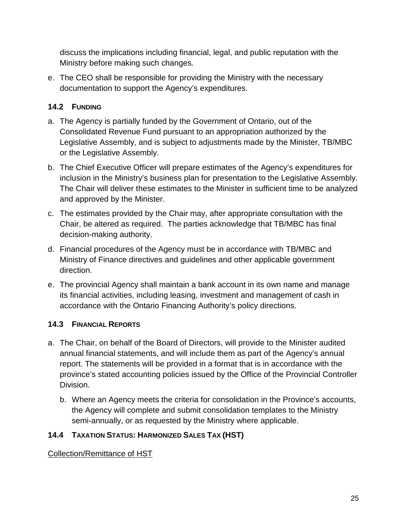discuss the implications including financial, legal, and public reputation with the Ministry before making such changes.

e. The CEO shall be responsible for providing the Ministry with the necessary documentation to support the Agency's expenditures.

# <span id="page-24-0"></span>**14.2 FUNDING**

- a. The Agency is partially funded by the Government of Ontario, out of the Consolidated Revenue Fund pursuant to an appropriation authorized by the Legislative Assembly, and is subject to adjustments made by the Minister, TB/MBC or the Legislative Assembly.
- b. The Chief Executive Officer will prepare estimates of the Agency's expenditures for inclusion in the Ministry's business plan for presentation to the Legislative Assembly. The Chair will deliver these estimates to the Minister in sufficient time to be analyzed and approved by the Minister.
- c. The estimates provided by the Chair may, after appropriate consultation with the Chair, be altered as required. The parties acknowledge that TB/MBC has final decision-making authority.
- d. Financial procedures of the Agency must be in accordance with TB/MBC and Ministry of Finance directives and guidelines and other applicable government direction.
- e. The provincial Agency shall maintain a bank account in its own name and manage its financial activities, including leasing, investment and management of cash in accordance with the Ontario Financing Authority's policy directions.

# <span id="page-24-1"></span>**14.3 FINANCIAL REPORTS**

- a. The Chair, on behalf of the Board of Directors, will provide to the Minister audited annual financial statements, and will include them as part of the Agency's annual report. The statements will be provided in a format that is in accordance with the province's stated accounting policies issued by the Office of the Provincial Controller Division.
	- b. Where an Agency meets the criteria for consolidation in the Province's accounts, the Agency will complete and submit consolidation templates to the Ministry semi-annually, or as requested by the Ministry where applicable.

# <span id="page-24-2"></span>**14.4 TAXATION STATUS: HARMONIZED SALES TAX (HST)**

Collection/Remittance of HST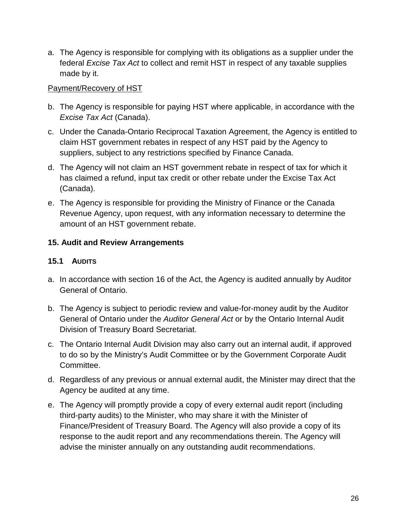a. The Agency is responsible for complying with its obligations as a supplier under the federal *Excise Tax Act* to collect and remit HST in respect of any taxable supplies made by it.

#### Payment/Recovery of HST

- b. The Agency is responsible for paying HST where applicable, in accordance with the *Excise Tax Act* (Canada).
- c. Under the Canada-Ontario Reciprocal Taxation Agreement, the Agency is entitled to claim HST government rebates in respect of any HST paid by the Agency to suppliers, subject to any restrictions specified by Finance Canada.
- d. The Agency will not claim an HST government rebate in respect of tax for which it has claimed a refund, input tax credit or other rebate under the Excise Tax Act (Canada).
- e. The Agency is responsible for providing the Ministry of Finance or the Canada Revenue Agency, upon request, with any information necessary to determine the amount of an HST government rebate.

### <span id="page-25-0"></span>**15. Audit and Review Arrangements**

### <span id="page-25-1"></span>**15.1 AUDITS**

- a. In accordance with section 16 of the Act, the Agency is audited annually by Auditor General of Ontario.
- b. The Agency is subject to periodic review and value-for-money audit by the Auditor General of Ontario under the *Auditor General Act* or by the Ontario Internal Audit Division of Treasury Board Secretariat.
- c. The Ontario Internal Audit Division may also carry out an internal audit, if approved to do so by the Ministry's Audit Committee or by the Government Corporate Audit Committee.
- d. Regardless of any previous or annual external audit, the Minister may direct that the Agency be audited at any time.
- e. The Agency will promptly provide a copy of every external audit report (including third-party audits) to the Minister, who may share it with the Minister of Finance/President of Treasury Board. The Agency will also provide a copy of its response to the audit report and any recommendations therein. The Agency will advise the minister annually on any outstanding audit recommendations.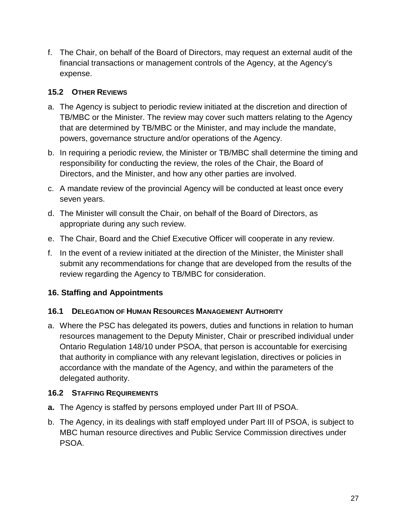f. The Chair, on behalf of the Board of Directors, may request an external audit of the financial transactions or management controls of the Agency, at the Agency's expense.

# <span id="page-26-0"></span>**15.2 OTHER REVIEWS**

- a. The Agency is subject to periodic review initiated at the discretion and direction of TB/MBC or the Minister. The review may cover such matters relating to the Agency that are determined by TB/MBC or the Minister, and may include the mandate, powers, governance structure and/or operations of the Agency.
- b. In requiring a periodic review, the Minister or TB/MBC shall determine the timing and responsibility for conducting the review, the roles of the Chair, the Board of Directors, and the Minister, and how any other parties are involved.
- c. A mandate review of the provincial Agency will be conducted at least once every seven years.
- d. The Minister will consult the Chair, on behalf of the Board of Directors, as appropriate during any such review.
- e. The Chair, Board and the Chief Executive Officer will cooperate in any review.
- f. In the event of a review initiated at the direction of the Minister, the Minister shall submit any recommendations for change that are developed from the results of the review regarding the Agency to TB/MBC for consideration.

# <span id="page-26-1"></span>**16. Staffing and Appointments**

# <span id="page-26-2"></span>**16.1 DELEGATION OF HUMAN RESOURCES MANAGEMENT AUTHORITY**

a. Where the PSC has delegated its powers, duties and functions in relation to human resources management to the Deputy Minister, Chair or prescribed individual under Ontario Regulation 148/10 under PSOA, that person is accountable for exercising that authority in compliance with any relevant legislation, directives or policies in accordance with the mandate of the Agency, and within the parameters of the delegated authority.

# <span id="page-26-3"></span>**16.2 STAFFING REQUIREMENTS**

- **a.** The Agency is staffed by persons employed under Part III of PSOA.
- b. The Agency, in its dealings with staff employed under Part III of PSOA, is subject to MBC human resource directives and Public Service Commission directives under PSOA.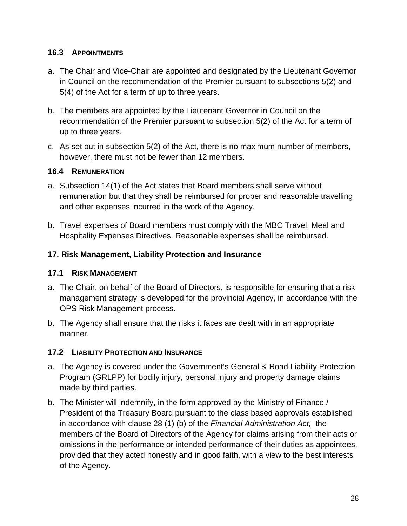### <span id="page-27-0"></span>**16.3 APPOINTMENTS**

- a. The Chair and Vice-Chair are appointed and designated by the Lieutenant Governor in Council on the recommendation of the Premier pursuant to subsections 5(2) and 5(4) of the Act for a term of up to three years.
- b. The members are appointed by the Lieutenant Governor in Council on the recommendation of the Premier pursuant to subsection 5(2) of the Act for a term of up to three years.
- c. As set out in subsection 5(2) of the Act, there is no maximum number of members, however, there must not be fewer than 12 members.

### <span id="page-27-1"></span>**16.4 REMUNERATION**

- a. Subsection 14(1) of the Act states that Board members shall serve without remuneration but that they shall be reimbursed for proper and reasonable travelling and other expenses incurred in the work of the Agency.
- b. Travel expenses of Board members must comply with the MBC Travel, Meal and Hospitality Expenses Directives. Reasonable expenses shall be reimbursed.

# <span id="page-27-2"></span>**17. Risk Management, Liability Protection and Insurance**

# <span id="page-27-3"></span>**17.1 RISK MANAGEMENT**

- a. The Chair, on behalf of the Board of Directors, is responsible for ensuring that a risk management strategy is developed for the provincial Agency, in accordance with the OPS Risk Management process.
- b. The Agency shall ensure that the risks it faces are dealt with in an appropriate manner.

# <span id="page-27-4"></span>**17.2 LIABILITY PROTECTION AND INSURANCE**

- a. The Agency is covered under the Government's General & Road Liability Protection Program (GRLPP) for bodily injury, personal injury and property damage claims made by third parties.
- b. The Minister will indemnify, in the form approved by the Ministry of Finance / President of the Treasury Board pursuant to the class based approvals established in accordance with clause 28 (1) (b) of the *Financial Administration Act,* the members of the Board of Directors of the Agency for claims arising from their acts or omissions in the performance or intended performance of their duties as appointees, provided that they acted honestly and in good faith, with a view to the best interests of the Agency.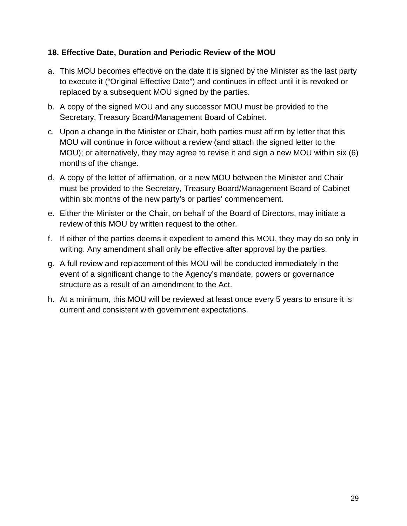### <span id="page-28-0"></span>**18. Effective Date, Duration and Periodic Review of the MOU**

- a. This MOU becomes effective on the date it is signed by the Minister as the last party to execute it ("Original Effective Date") and continues in effect until it is revoked or replaced by a subsequent MOU signed by the parties.
- b. A copy of the signed MOU and any successor MOU must be provided to the Secretary, Treasury Board/Management Board of Cabinet.
- c. Upon a change in the Minister or Chair, both parties must affirm by letter that this MOU will continue in force without a review (and attach the signed letter to the MOU); or alternatively, they may agree to revise it and sign a new MOU within six (6) months of the change.
- d. A copy of the letter of affirmation, or a new MOU between the Minister and Chair must be provided to the Secretary, Treasury Board/Management Board of Cabinet within six months of the new party's or parties' commencement.
- e. Either the Minister or the Chair, on behalf of the Board of Directors, may initiate a review of this MOU by written request to the other.
- f. If either of the parties deems it expedient to amend this MOU, they may do so only in writing. Any amendment shall only be effective after approval by the parties.
- g. A full review and replacement of this MOU will be conducted immediately in the event of a significant change to the Agency's mandate, powers or governance structure as a result of an amendment to the Act.
- h. At a minimum, this MOU will be reviewed at least once every 5 years to ensure it is current and consistent with government expectations.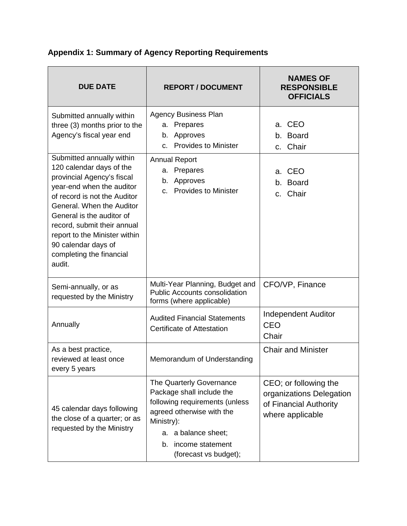| <b>DUE DATE</b>                                                                                                                                                                                                                                                                                                                         | <b>REPORT / DOCUMENT</b>                                                                                                                                                                                        | <b>NAMES OF</b><br><b>RESPONSIBLE</b><br><b>OFFICIALS</b>                                       |
|-----------------------------------------------------------------------------------------------------------------------------------------------------------------------------------------------------------------------------------------------------------------------------------------------------------------------------------------|-----------------------------------------------------------------------------------------------------------------------------------------------------------------------------------------------------------------|-------------------------------------------------------------------------------------------------|
| Submitted annually within<br>three (3) months prior to the<br>Agency's fiscal year end                                                                                                                                                                                                                                                  | <b>Agency Business Plan</b><br>Prepares<br>а.<br>Approves<br>b.<br><b>Provides to Minister</b><br>C.                                                                                                            | a. CEO<br>b. Board<br>c. Chair                                                                  |
| Submitted annually within<br>120 calendar days of the<br>provincial Agency's fiscal<br>year-end when the auditor<br>of record is not the Auditor<br>General. When the Auditor<br>General is the auditor of<br>record, submit their annual<br>report to the Minister within<br>90 calendar days of<br>completing the financial<br>audit. | <b>Annual Report</b><br>Prepares<br>a.<br>Approves<br>b.<br><b>Provides to Minister</b><br>$C_{\cdot}$                                                                                                          | a. CEO<br>b. Board<br>c. Chair                                                                  |
| Semi-annually, or as<br>requested by the Ministry                                                                                                                                                                                                                                                                                       | Multi-Year Planning, Budget and<br><b>Public Accounts consolidation</b><br>forms (where applicable)                                                                                                             | CFO/VP, Finance                                                                                 |
| Annually                                                                                                                                                                                                                                                                                                                                | <b>Audited Financial Statements</b><br><b>Certificate of Attestation</b>                                                                                                                                        | <b>Independent Auditor</b><br>CEO<br>Chair                                                      |
| As a best practice,<br>reviewed at least once<br>every 5 years                                                                                                                                                                                                                                                                          | Memorandum of Understanding                                                                                                                                                                                     | <b>Chair and Minister</b>                                                                       |
| 45 calendar days following<br>the close of a quarter; or as<br>requested by the Ministry                                                                                                                                                                                                                                                | The Quarterly Governance<br>Package shall include the<br>following requirements (unless<br>agreed otherwise with the<br>Ministry):<br>a balance sheet;<br>а.<br>income statement<br>b.<br>(forecast vs budget); | CEO; or following the<br>organizations Delegation<br>of Financial Authority<br>where applicable |

# <span id="page-29-0"></span>**Appendix 1: Summary of Agency Reporting Requirements**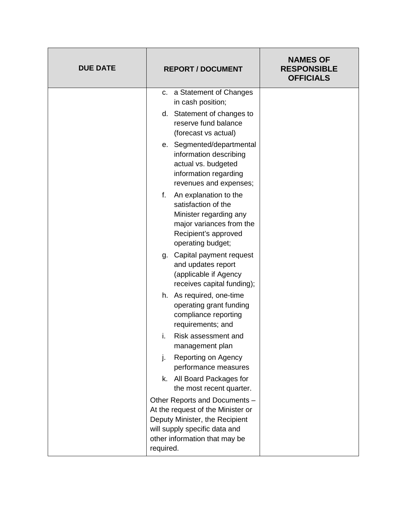| <b>DUE DATE</b> | <b>REPORT / DOCUMENT</b>                                                                                                                                                            | <b>NAMES OF</b><br><b>RESPONSIBLE</b><br><b>OFFICIALS</b> |
|-----------------|-------------------------------------------------------------------------------------------------------------------------------------------------------------------------------------|-----------------------------------------------------------|
|                 | a Statement of Changes<br>C.<br>in cash position;<br>d. Statement of changes to                                                                                                     |                                                           |
|                 | reserve fund balance<br>(forecast vs actual)                                                                                                                                        |                                                           |
|                 | e. Segmented/departmental<br>information describing<br>actual vs. budgeted<br>information regarding<br>revenues and expenses;                                                       |                                                           |
|                 | f.<br>An explanation to the<br>satisfaction of the<br>Minister regarding any<br>major variances from the<br>Recipient's approved<br>operating budget;                               |                                                           |
|                 | Capital payment request<br>g.<br>and updates report<br>(applicable if Agency<br>receives capital funding);                                                                          |                                                           |
|                 | h. As required, one-time<br>operating grant funding<br>compliance reporting<br>requirements; and                                                                                    |                                                           |
|                 | Risk assessment and<br>i.<br>management plan                                                                                                                                        |                                                           |
|                 | j.<br>Reporting on Agency<br>performance measures                                                                                                                                   |                                                           |
|                 | All Board Packages for<br>k.<br>the most recent quarter.                                                                                                                            |                                                           |
|                 | Other Reports and Documents -<br>At the request of the Minister or<br>Deputy Minister, the Recipient<br>will supply specific data and<br>other information that may be<br>required. |                                                           |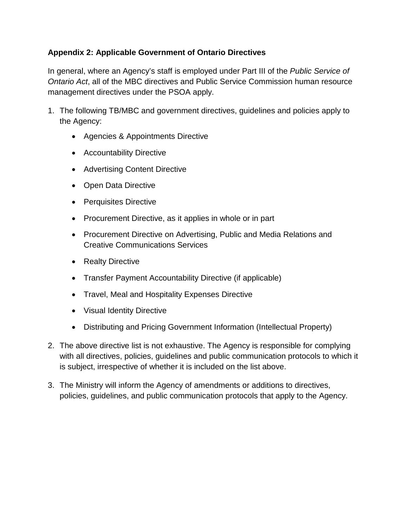### <span id="page-31-0"></span>**Appendix 2: Applicable Government of Ontario Directives**

In general, where an Agency's staff is employed under Part III of the *Public Service of Ontario Act*, all of the MBC directives and Public Service Commission human resource management directives under the PSOA apply.

- 1. The following TB/MBC and government directives, guidelines and policies apply to the Agency:
	- Agencies & Appointments Directive
	- Accountability Directive
	- Advertising Content Directive
	- Open Data Directive
	- Perquisites Directive
	- Procurement Directive, as it applies in whole or in part
	- Procurement Directive on Advertising, Public and Media Relations and Creative Communications Services
	- Realty Directive
	- Transfer Payment Accountability Directive (if applicable)
	- Travel, Meal and Hospitality Expenses Directive
	- Visual Identity Directive
	- Distributing and Pricing Government Information (Intellectual Property)
- 2. The above directive list is not exhaustive. The Agency is responsible for complying with all directives, policies, guidelines and public communication protocols to which it is subject, irrespective of whether it is included on the list above.
- 3. The Ministry will inform the Agency of amendments or additions to directives, policies, guidelines, and public communication protocols that apply to the Agency.